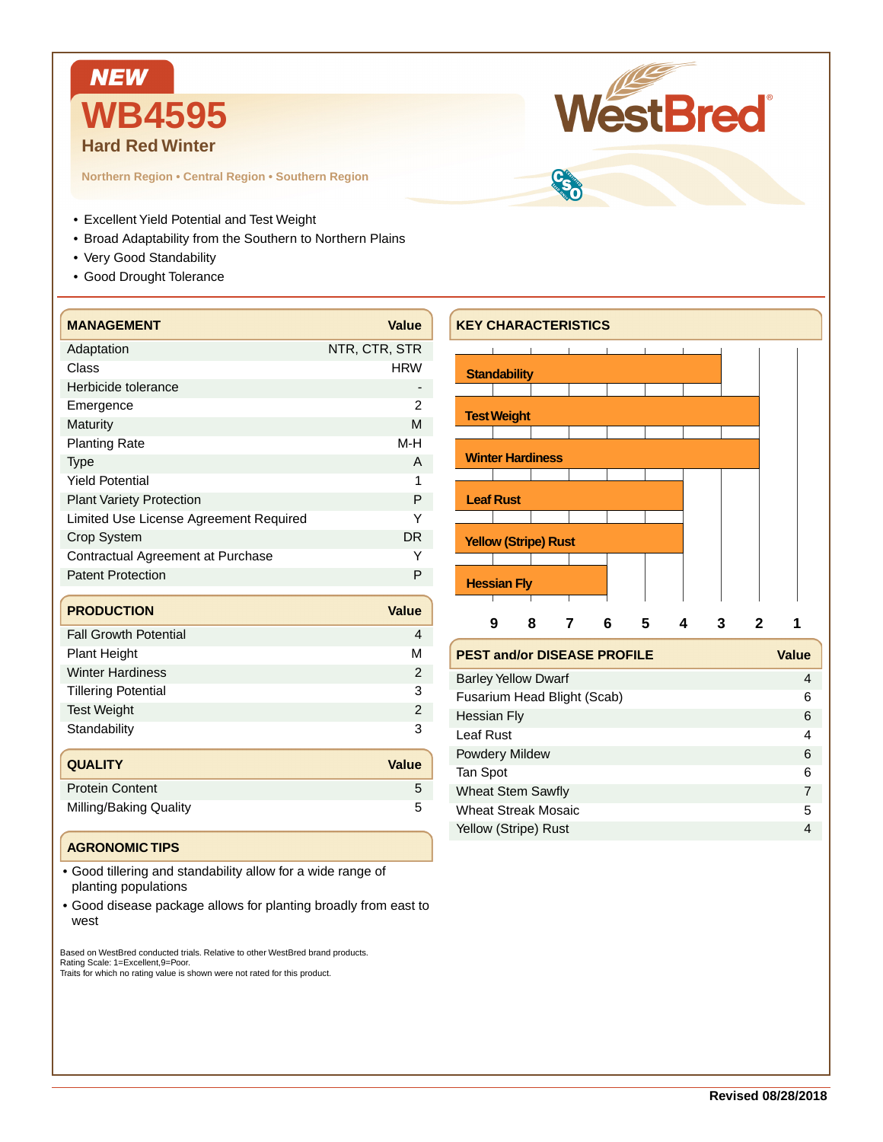

**Northern Region • Central Region • Southern Region**

- Excellent Yield Potential and Test Weight
- Broad Adaptability from the Southern to Northern Plains
- Very Good Standability
- Good Drought Tolerance

| <b>MANAGEMENT</b>                      | <b>Value</b>   |  |  |  |  |  |
|----------------------------------------|----------------|--|--|--|--|--|
| Adaptation                             | NTR, CTR, STR  |  |  |  |  |  |
| Class                                  | <b>HRW</b>     |  |  |  |  |  |
| Herbicide tolerance                    |                |  |  |  |  |  |
| Emergence                              | 2              |  |  |  |  |  |
| Maturity                               | M              |  |  |  |  |  |
| <b>Planting Rate</b>                   | M-H            |  |  |  |  |  |
| <b>Type</b>                            | A              |  |  |  |  |  |
| <b>Yield Potential</b>                 | 1              |  |  |  |  |  |
| <b>Plant Variety Protection</b>        | P              |  |  |  |  |  |
| Limited Use License Agreement Required | Υ              |  |  |  |  |  |
| Crop System                            | <b>DR</b>      |  |  |  |  |  |
| Contractual Agreement at Purchase      | Y              |  |  |  |  |  |
| <b>Patent Protection</b>               |                |  |  |  |  |  |
|                                        |                |  |  |  |  |  |
| <b>PRODUCTION</b>                      | <b>Value</b>   |  |  |  |  |  |
| <b>Fall Growth Potential</b>           | 4              |  |  |  |  |  |
| <b>Plant Height</b>                    | М              |  |  |  |  |  |
| <b>Winter Hardiness</b>                | $\overline{2}$ |  |  |  |  |  |
| <b>Tillering Potential</b>             | 3              |  |  |  |  |  |
| <b>Test Weight</b>                     | $\overline{2}$ |  |  |  |  |  |
| Standability                           | 3              |  |  |  |  |  |

| <b>QUALITY</b>         | <b>Value</b> |
|------------------------|--------------|
| <b>Protein Content</b> |              |
| Milling/Baking Quality |              |

## **AGRONOMIC TIPS**

- Good tillering and standability allow for a wide range of planting populations
- Good disease package allows for planting broadly from east to west

Based on WestBred conducted trials. Relative to other WestBred brand products. Rating Scale: 1=Excellent,9=Poor. Traits for which no rating value is shown were not rated for this product.

## **KEY CHARACTERISTICS**



WestBred

Wheat Streak Mosaic 5 Yellow (Stripe) Rust 4